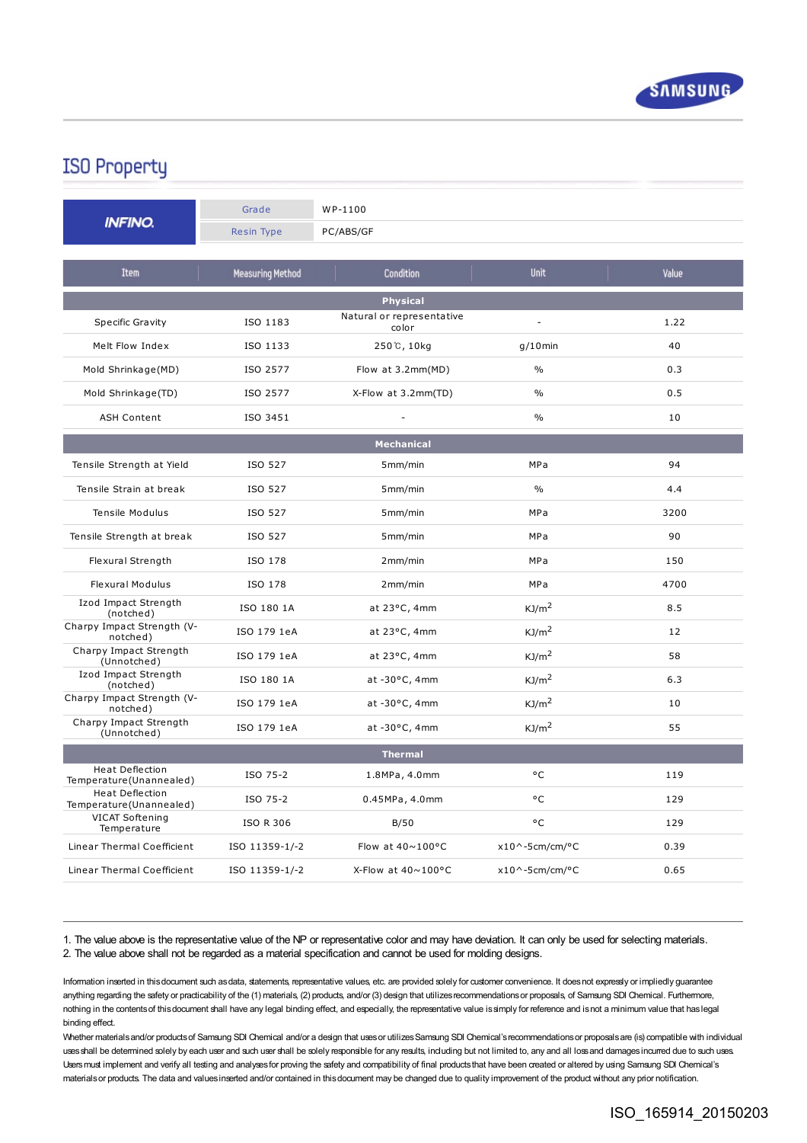

## **ISO Property**

| <b>INFINO.</b>                                    | Grade<br><b>Resin Type</b> | WP-1100<br>PC/ABS/GF               |                          |       |
|---------------------------------------------------|----------------------------|------------------------------------|--------------------------|-------|
| <b>Item</b>                                       | <b>Measuring Method</b>    | Condition                          | <b>Unit</b>              | Value |
| <b>Physical</b>                                   |                            |                                    |                          |       |
| Specific Gravity                                  | ISO 1183                   | Natural or representative<br>color | $\overline{a}$           | 1.22  |
| Melt Flow Index                                   | ISO 1133                   | 250℃, 10kg                         | $q/10$ min               | 40    |
| Mold Shrinkage(MD)                                | ISO 2577                   | Flow at 3.2mm(MD)                  | $\frac{0}{0}$            | 0.3   |
| Mold Shrinkage(TD)                                | ISO 2577                   | X-Flow at 3.2mm(TD)                | $\frac{0}{0}$            | 0.5   |
| <b>ASH Content</b>                                | ISO 3451                   |                                    | $\frac{0}{0}$            | 10    |
| <b>Mechanical</b>                                 |                            |                                    |                          |       |
| Tensile Strength at Yield                         | ISO 527                    | 5mm/min                            | <b>MPa</b>               | 94    |
| Tensile Strain at break                           | ISO 527                    | 5mm/min                            | $\frac{0}{0}$            | 4.4   |
| Tensile Modulus                                   | ISO 527                    | 5mm/min                            | <b>MPa</b>               | 3200  |
| Tensile Strength at break                         | ISO 527                    | 5mm/min                            | <b>MPa</b>               | 90    |
| Flexural Strength                                 | ISO 178                    | 2mm/min                            | MPa                      | 150   |
| <b>Flexural Modulus</b>                           | ISO 178                    | 2mm/min                            | MPa                      | 4700  |
| Izod Impact Strength<br>(notched)                 | ISO 180 1A                 | at 23°C, 4mm                       | KJ/m <sup>2</sup>        | 8.5   |
| Charpy Impact Strength (V-<br>notched)            | ISO 179 1eA                | at 23°C, 4mm                       | KJ/m <sup>2</sup>        | 12    |
| Charpy Impact Strength<br>(Unnotched)             | ISO 179 1eA                | at 23°C, 4mm                       | KJ/m <sup>2</sup>        | 58    |
| Izod Impact Strength<br>(notched)                 | ISO 180 1A                 | at $-30^{\circ}$ C, 4mm            | KJ/m <sup>2</sup>        | 6.3   |
| Charpy Impact Strength (V-<br>notched)            | ISO 179 1eA                | at -30°C, 4mm                      | KJ/m <sup>2</sup>        | 10    |
| Charpy Impact Strength<br>(Unnotched)             | ISO 179 1eA                | at $-30^{\circ}$ C, 4mm            | KJ/m <sup>2</sup>        | 55    |
| <b>Thermal</b>                                    |                            |                                    |                          |       |
| <b>Heat Deflection</b><br>Temperature(Unannealed) | ISO 75-2                   | 1.8MPa, 4.0mm                      | ۰c                       | 119   |
| Heat Deflection<br>Temperature(Unannealed)        | ISO 75-2                   | 0.45MPa, 4.0mm                     | °C                       | 129   |
| VICAT Softening<br>Temperature                    | <b>ISO R 306</b>           | B/50                               | °C                       | 129   |
| Linear Thermal Coefficient                        | ISO 11359-1/-2             | Flow at $40 \sim 100$ °C           | $x10^{\circ}$ -5cm/cm/°C | 0.39  |
| <b>Linear Thermal Coefficient</b>                 | ISO 11359-1/-2             | X-Flow at $40 \sim 100$ °C         | $x10^{\circ}$ -5cm/cm/°C | 0.65  |

1. The value above is the representative value of the NP or representative color and may have deviation. It can only be used for selecting materials. 2. The value above shall not be regarded as a material specification and cannot be used for molding designs.

Information inserted in thisdocument such asdata, statements, representative values, etc. are provided solely for customer convenience. It doesnot expressly or impliedly guarantee anything regarding the safety or practicability of the (1) materials, (2) products, and/or (3) design that utilizes recommendations or proposals, of Samsung SDI Chemical. Furthermore, nothing in the contentsof thisdocument shall have any legal binding effect, and especially, the representative value issimply for reference and isnot a minimum value that haslegal binding effect.

Whether materials and/or products of Samsung SDI Chemical and/or a design that uses or utilizes Samsung SDI Chemical's recommendations or proposals are (is) compatible with individual uses shall be determined solely by each user and such user shall be solely responsible for any results, including but not limited to, any and all loss and damages incurred due to such uses. Users must implement and verify all testing and analyses for proving the safety and compatibility of final products that have been created or altered by using Samsung SDI Chemical's materials or products. The data and values inserted and/or contained in this document may be changed due to quality improvement of the product without any prior notification.